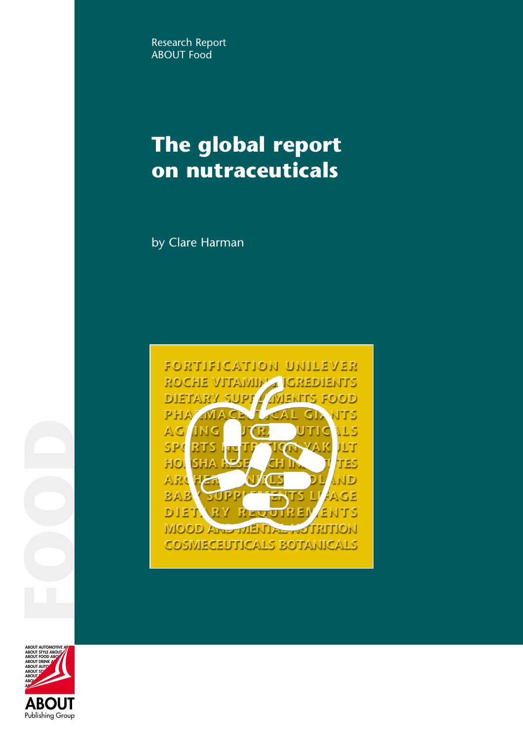Research Report **ABOUT Food** 

# **The global report on nutraceuticals**

by Clare Harman



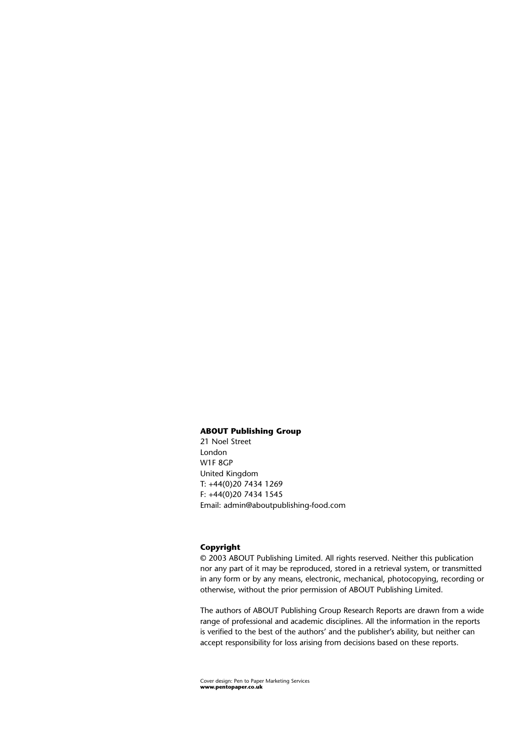#### **ABOUT Publishing Group**

21 Noel Street London W1F 8GP United Kingdom T: +44(0)20 7434 1269 F: +44(0)20 7434 1545 Email: admin@aboutpublishing-food.com

#### **Copyright**

© 2003 ABOUT Publishing Limited. All rights reserved. Neither this publication nor any part of it may be reproduced, stored in a retrieval system, or transmitted in any form or by any means, electronic, mechanical, photocopying, recording or otherwise, without the prior permission of ABOUT Publishing Limited.

The authors of ABOUT Publishing Group Research Reports are drawn from a wide range of professional and academic disciplines. All the information in the reports is verified to the best of the authors' and the publisher's ability, but neither can accept responsibility for loss arising from decisions based on these reports.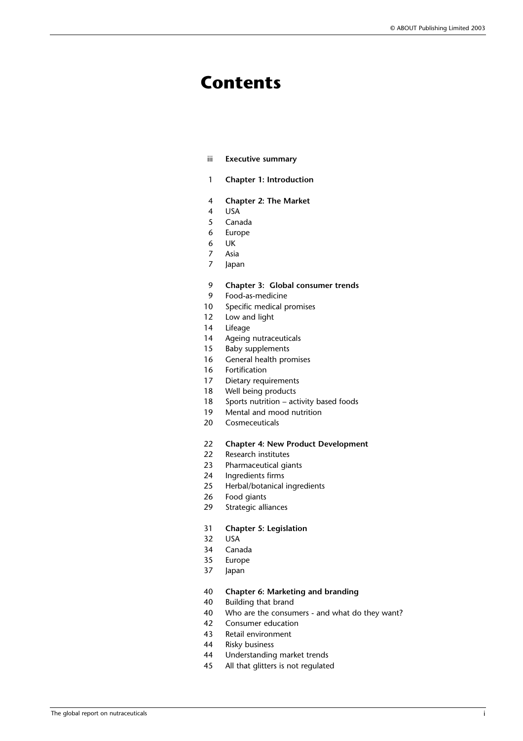# **Contents**

- iii **Executive summary**
- 1 **Chapter 1: Introduction**
- 4 **Chapter 2: The Market**
- 4 USA
- 5 Canada
- 6 Europe
- 6 UK
- 7 Asia 7 Japan
- 
- 9 **Chapter 3: Global consumer trends**
- 9 Food-as-medicine
- 10 Specific medical promises
- 12 Low and light
- 14 Lifeage
- 14 Ageing nutraceuticals
- 15 Baby supplements
- 16 General health promises
- 16 Fortification
- 17 Dietary requirements
- 18 Well being products
- 18 Sports nutrition activity based foods
- 19 Mental and mood nutrition
- 20 Cosmeceuticals

# 22 **Chapter 4: New Product Development**

- 22 Research institutes
- 23 Pharmaceutical giants
- 24 Ingredients firms
- 25 Herbal/botanical ingredients
- 26 Food giants<br>29 Strategic alli
- Strategic alliances
- 31 **Chapter 5: Legislation**
- 32 USA
- 34 Canada
- 35 Europe
- 37 Japan
- 40 **Chapter 6: Marketing and branding**
- 40 Building that brand
- 40 Who are the consumers and what do they want?
- 42 Consumer education
- 43 Retail environment
- 44 Risky business
- 44 Understanding market trends
- 45 All that glitters is not regulated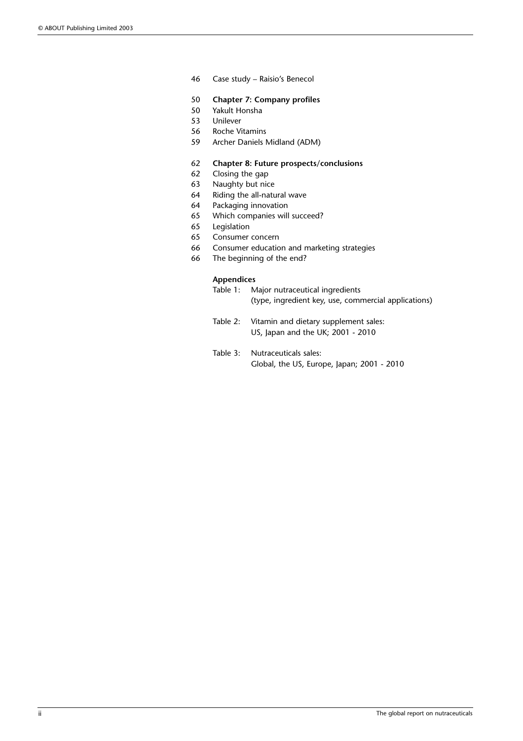- 46 Case study Raisio's Benecol
- 50 **Chapter 7: Company profiles**
- 50 Yakult Honsha
- 53 Unilever
- 56 Roche Vitamins
- 59 Archer Daniels Midland (ADM)

#### 62 **Chapter 8: Future prospects/conclusions**

- 62 Closing the gap
- 63 Naughty but nice
- 64 Riding the all-natural wave
- 64 Packaging innovation
- 65 Which companies will succeed?
- 65 Legislation
- 65 Consumer concern
- 66 Consumer education and marketing strategies
- 66 The beginning of the end?

#### **Appendices**

- Table 1: Major nutraceutical ingredients (type, ingredient key, use, commercial applications)
- Table 2: Vitamin and dietary supplement sales: US, Japan and the UK; 2001 - 2010
- Table 3: Nutraceuticals sales: Global, the US, Europe, Japan; 2001 - 2010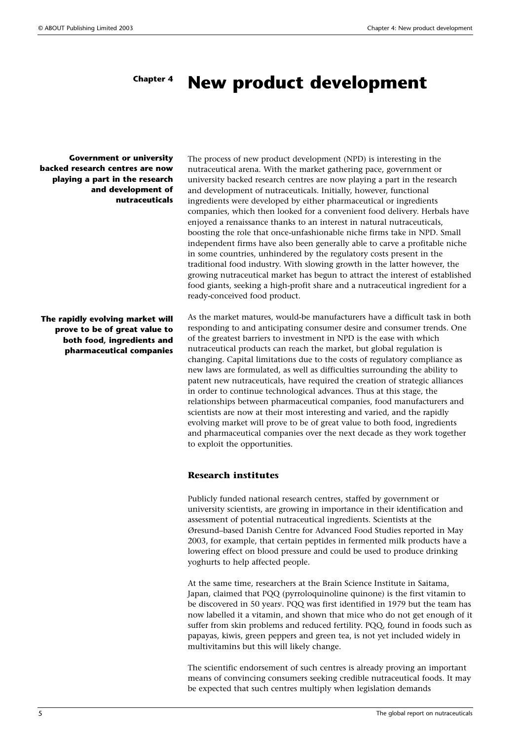#### **New product development Chapter 4**

**Government or university backed research centres are now playing a part in the research and development of nutraceuticals**

**The rapidly evolving market will prove to be of great value to both food, ingredients and pharmaceutical companies** The process of new product development (NPD) is interesting in the nutraceutical arena. With the market gathering pace, government or university backed research centres are now playing a part in the research and development of nutraceuticals. Initially, however, functional ingredients were developed by either pharmaceutical or ingredients companies, which then looked for a convenient food delivery. Herbals have enjoyed a renaissance thanks to an interest in natural nutraceuticals, boosting the role that once-unfashionable niche firms take in NPD. Small independent firms have also been generally able to carve a profitable niche in some countries, unhindered by the regulatory costs present in the traditional food industry. With slowing growth in the latter however, the growing nutraceutical market has begun to attract the interest of established food giants, seeking a high-profit share and a nutraceutical ingredient for a ready-conceived food product.

As the market matures, would-be manufacturers have a difficult task in both responding to and anticipating consumer desire and consumer trends. One of the greatest barriers to investment in NPD is the ease with which nutraceutical products can reach the market, but global regulation is changing. Capital limitations due to the costs of regulatory compliance as new laws are formulated, as well as difficulties surrounding the ability to patent new nutraceuticals, have required the creation of strategic alliances in order to continue technological advances. Thus at this stage, the relationships between pharmaceutical companies, food manufacturers and scientists are now at their most interesting and varied, and the rapidly evolving market will prove to be of great value to both food, ingredients and pharmaceutical companies over the next decade as they work together to exploit the opportunities.

#### **Research institutes**

Publicly funded national research centres, staffed by government or university scientists, are growing in importance in their identification and assessment of potential nutraceutical ingredients. Scientists at the Øresund–based Danish Centre for Advanced Food Studies reported in May 2003, for example, that certain peptides in fermented milk products have a lowering effect on blood pressure and could be used to produce drinking yoghurts to help affected people.

At the same time, researchers at the Brain Science Institute in Saitama, Japan, claimed that PQQ (pyrroloquinoline quinone) is the first vitamin to be discovered in 50 years'. PQQ was first identified in 1979 but the team has now labelled it a vitamin, and shown that mice who do not get enough of it suffer from skin problems and reduced fertility. PQQ, found in foods such as papayas, kiwis, green peppers and green tea, is not yet included widely in multivitamins but this will likely change.

The scientific endorsement of such centres is already proving an important means of convincing consumers seeking credible nutraceutical foods. It may be expected that such centres multiply when legislation demands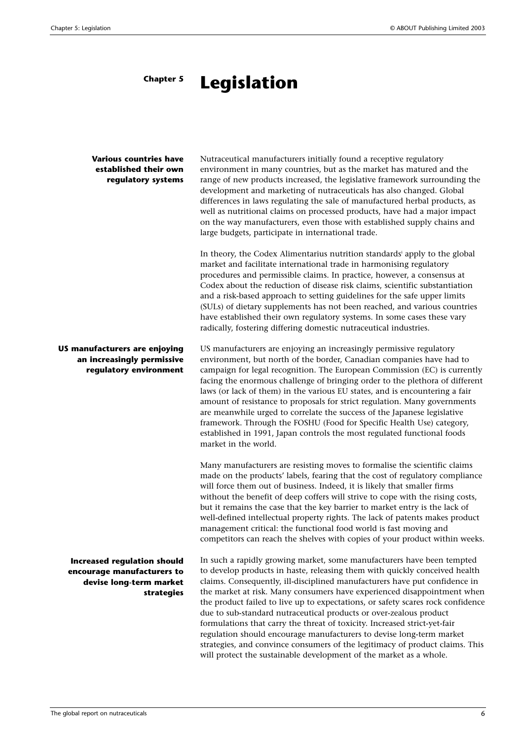#### **Legislation Chapter 5**

### **Various countries have established their own regulatory systems**

Nutraceutical manufacturers initially found a receptive regulatory environment in many countries, but as the market has matured and the range of new products increased, the legislative framework surrounding the development and marketing of nutraceuticals has also changed. Global differences in laws regulating the sale of manufactured herbal products, as well as nutritional claims on processed products, have had a major impact on the way manufacturers, even those with established supply chains and large budgets, participate in international trade.

In theory, the Codex Alimentarius nutrition standardsi apply to the global market and facilitate international trade in harmonising regulatory procedures and permissible claims. In practice, however, a consensus at Codex about the reduction of disease risk claims, scientific substantiation and a risk-based approach to setting guidelines for the safe upper limits (SULs) of dietary supplements has not been reached, and various countries have established their own regulatory systems. In some cases these vary radically, fostering differing domestic nutraceutical industries.

US manufacturers are enjoying an increasingly permissive regulatory environment, but north of the border, Canadian companies have had to campaign for legal recognition. The European Commission (EC) is currently facing the enormous challenge of bringing order to the plethora of different laws (or lack of them) in the various EU states, and is encountering a fair amount of resistance to proposals for strict regulation. Many governments are meanwhile urged to correlate the success of the Japanese legislative framework. Through the FOSHU (Food for Specific Health Use) category, established in 1991, Japan controls the most regulated functional foods market in the world.

Many manufacturers are resisting moves to formalise the scientific claims made on the products' labels, fearing that the cost of regulatory compliance will force them out of business. Indeed, it is likely that smaller firms without the benefit of deep coffers will strive to cope with the rising costs, but it remains the case that the key barrier to market entry is the lack of well-defined intellectual property rights. The lack of patents makes product management critical: the functional food world is fast moving and competitors can reach the shelves with copies of your product within weeks.

In such a rapidly growing market, some manufacturers have been tempted to develop products in haste, releasing them with quickly conceived health claims. Consequently, ill-disciplined manufacturers have put confidence in the market at risk. Many consumers have experienced disappointment when the product failed to live up to expectations, or safety scares rock confidence due to sub-standard nutraceutical products or over-zealous product formulations that carry the threat of toxicity. Increased strict-yet-fair regulation should encourage manufacturers to devise long-term market strategies, and convince consumers of the legitimacy of product claims. This will protect the sustainable development of the market as a whole.

**US manufacturers are enjoying an increasingly permissive regulatory environment**

**Increased regulation should encourage manufacturers to devise long-term market strategies**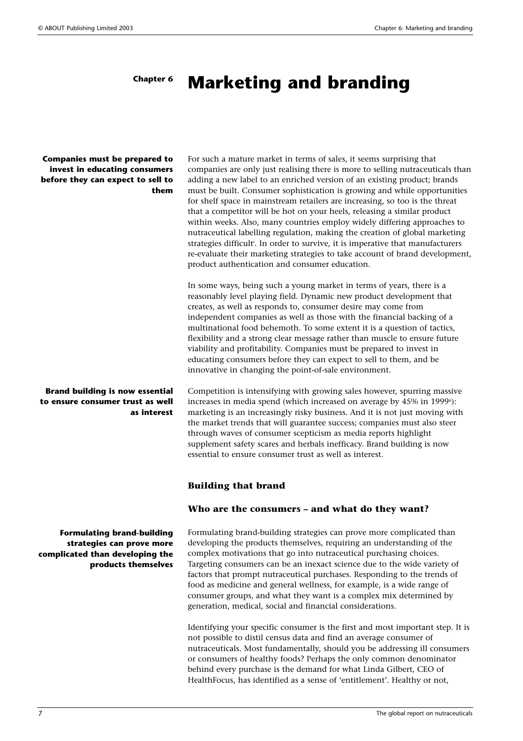#### **Marketing and branding Chapter 6**

#### **Companies must be prepared to invest in educating consumers before they can expect to sell to them**

**Brand building is now essential to ensure consumer trust as well as interest**

**Formulating brand-building strategies can prove more complicated than developing the products themselves** For such a mature market in terms of sales, it seems surprising that companies are only just realising there is more to selling nutraceuticals than adding a new label to an enriched version of an existing product; brands must be built. Consumer sophistication is growing and while opportunities for shelf space in mainstream retailers are increasing, so too is the threat that a competitor will be hot on your heels, releasing a similar product within weeks. Also, many countries employ widely differing approaches to nutraceutical labelling regulation, making the creation of global marketing strategies difficult<sup>i</sup>. In order to survive, it is imperative that manufacturers re-evaluate their marketing strategies to take account of brand development, product authentication and consumer education.

In some ways, being such a young market in terms of years, there is a reasonably level playing field. Dynamic new product development that creates, as well as responds to, consumer desire may come from independent companies as well as those with the financial backing of a multinational food behemoth. To some extent it is a question of tactics, flexibility and a strong clear message rather than muscle to ensure future viability and profitability. Companies must be prepared to invest in educating consumers before they can expect to sell to them, and be innovative in changing the point-of-sale environment.

Competition is intensifying with growing sales however, spurring massive increases in media spend (which increased on average by  $45\%$  in 1999<sup>ii</sup>): marketing is an increasingly risky business. And it is not just moving with the market trends that will guarantee success; companies must also steer through waves of consumer scepticism as media reports highlight supplement safety scares and herbals inefficacy. Brand building is now essential to ensure consumer trust as well as interest.

#### **Building that brand**

## **Who are the consumers – and what do they want?**

Formulating brand-building strategies can prove more complicated than developing the products themselves, requiring an understanding of the complex motivations that go into nutraceutical purchasing choices. Targeting consumers can be an inexact science due to the wide variety of factors that prompt nutraceutical purchases. Responding to the trends of food as medicine and general wellness, for example, is a wide range of consumer groups, and what they want is a complex mix determined by generation, medical, social and financial considerations.

Identifying your specific consumer is the first and most important step. It is not possible to distil census data and find an average consumer of nutraceuticals. Most fundamentally, should you be addressing ill consumers or consumers of healthy foods? Perhaps the only common denominator behind every purchase is the demand for what Linda Gilbert, CEO of HealthFocus, has identified as a sense of 'entitlement'. Healthy or not,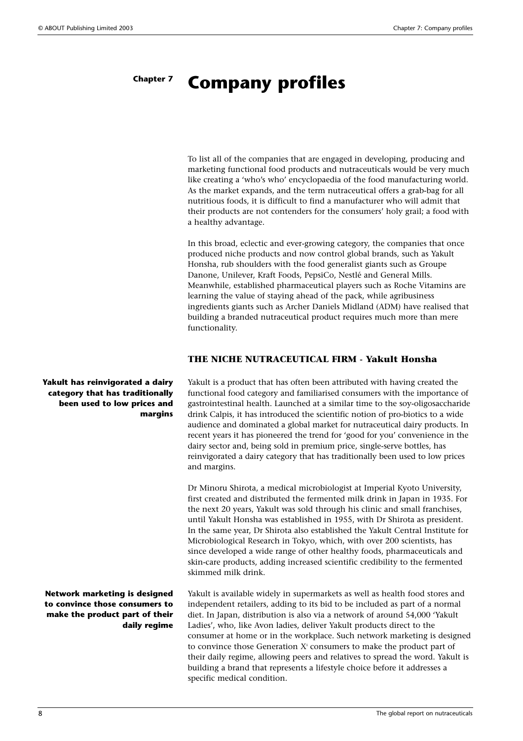#### **Company profiles Chapter 7**

To list all of the companies that are engaged in developing, producing and marketing functional food products and nutraceuticals would be very much like creating a 'who's who' encyclopaedia of the food manufacturing world. As the market expands, and the term nutraceutical offers a grab-bag for all nutritious foods, it is difficult to find a manufacturer who will admit that their products are not contenders for the consumers' holy grail; a food with a healthy advantage.

In this broad, eclectic and ever-growing category, the companies that once produced niche products and now control global brands, such as Yakult Honsha, rub shoulders with the food generalist giants such as Groupe Danone, Unilever, Kraft Foods, PepsiCo, Nestlé and General Mills. Meanwhile, established pharmaceutical players such as Roche Vitamins are learning the value of staying ahead of the pack, while agribusiness ingredients giants such as Archer Daniels Midland (ADM) have realised that building a branded nutraceutical product requires much more than mere functionality.

### **THE NICHE NUTRACEUTICAL FIRM - Yakult Honsha**

Yakult is a product that has often been attributed with having created the functional food category and familiarised consumers with the importance of gastrointestinal health. Launched at a similar time to the soy-oligosaccharide drink Calpis, it has introduced the scientific notion of pro-biotics to a wide audience and dominated a global market for nutraceutical dairy products. In recent years it has pioneered the trend for 'good for you' convenience in the dairy sector and, being sold in premium price, single-serve bottles, has reinvigorated a dairy category that has traditionally been used to low prices and margins.

Dr Minoru Shirota, a medical microbiologist at Imperial Kyoto University, first created and distributed the fermented milk drink in Japan in 1935. For the next 20 years, Yakult was sold through his clinic and small franchises, until Yakult Honsha was established in 1955, with Dr Shirota as president. In the same year, Dr Shirota also established the Yakult Central Institute for Microbiological Research in Tokyo, which, with over 200 scientists, has since developed a wide range of other healthy foods, pharmaceuticals and skin-care products, adding increased scientific credibility to the fermented skimmed milk drink.

Yakult is available widely in supermarkets as well as health food stores and independent retailers, adding to its bid to be included as part of a normal diet. In Japan, distribution is also via a network of around 54,000 'Yakult Ladies', who, like Avon ladies, deliver Yakult products direct to the consumer at home or in the workplace. Such network marketing is designed to convince those Generation  $X^i$  consumers to make the product part of their daily regime, allowing peers and relatives to spread the word. Yakult is building a brand that represents a lifestyle choice before it addresses a specific medical condition.

**Yakult has reinvigorated a dairy category that has traditionally been used to low prices and margins** 

**Network marketing is designed to convince those consumers to make the product part of their daily regime**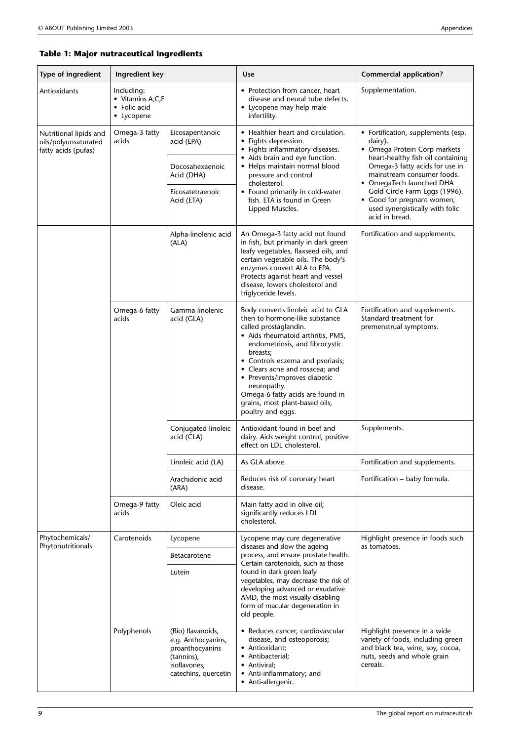# **Table 1: Major nutraceutical ingredients**

| Type of ingredient                                                    | Ingredient key                                               |                                                                                                                  | Use                                                                                                                                                                                                                                                                                                                                                                                              | <b>Commercial application?</b>                                                                                                                                                                                                                                                                                                     |
|-----------------------------------------------------------------------|--------------------------------------------------------------|------------------------------------------------------------------------------------------------------------------|--------------------------------------------------------------------------------------------------------------------------------------------------------------------------------------------------------------------------------------------------------------------------------------------------------------------------------------------------------------------------------------------------|------------------------------------------------------------------------------------------------------------------------------------------------------------------------------------------------------------------------------------------------------------------------------------------------------------------------------------|
| Antioxidants                                                          | Including:<br>• Vitamins A,C,E<br>• Folic acid<br>• Lycopene |                                                                                                                  | • Protection from cancer, heart<br>disease and neural tube defects.<br>• Lycopene may help male<br>infertility.                                                                                                                                                                                                                                                                                  | Supplementation.                                                                                                                                                                                                                                                                                                                   |
| Nutritional lipids and<br>oils/polyunsaturated<br>fatty acids (pufas) | Omega-3 fatty<br>acids                                       | Eicosapentanoic<br>acid (EPA)                                                                                    | • Healthier heart and circulation.<br>• Fights depression.<br>• Fights inflammatory diseases.<br>• Aids brain and eye function.<br>• Helps maintain normal blood<br>pressure and control<br>cholesterol.<br>• Found primarily in cold-water<br>fish. ETA is found in Green<br>Lipped Muscles.                                                                                                    | • Fortification, supplements (esp.<br>dairy).<br>• Omega Protein Corp markets<br>heart-healthy fish oil containing<br>Omega-3 fatty acids for use in<br>mainstream consumer foods.<br>• OmegaTech launched DHA<br>Gold Circle Farm Eggs (1996).<br>• Good for pregnant women,<br>used synergistically with folic<br>acid in bread. |
|                                                                       |                                                              | Docosahexaenoic<br>Acid (DHA)                                                                                    |                                                                                                                                                                                                                                                                                                                                                                                                  |                                                                                                                                                                                                                                                                                                                                    |
|                                                                       |                                                              | Eicosatetraenoic<br>Acid (ETA)                                                                                   |                                                                                                                                                                                                                                                                                                                                                                                                  |                                                                                                                                                                                                                                                                                                                                    |
|                                                                       |                                                              | Alpha-linolenic acid<br>(ALA)                                                                                    | An Omega-3 fatty acid not found<br>in fish, but primarily in dark green<br>leafy vegetables, flaxseed oils, and<br>certain vegetable oils. The body's<br>enzymes convert ALA to EPA.<br>Protects against heart and vessel<br>disease, lowers cholesterol and<br>triglyceride levels.                                                                                                             | Fortification and supplements.                                                                                                                                                                                                                                                                                                     |
|                                                                       | Omega-6 fatty<br>acids                                       | Gamma linolenic<br>acid (GLA)                                                                                    | Body converts linoleic acid to GLA<br>then to hormone-like substance<br>called prostaglandin.<br>• Aids rheumatoid arthritis, PMS,<br>endometriosis, and fibrocystic<br>breasts;<br>• Controls eczema and psoriasis;<br>• Clears acne and rosacea; and<br>• Prevents/improves diabetic<br>neuropathy.<br>Omega-6 fatty acids are found in<br>grains, most plant-based oils,<br>poultry and eggs. | Fortification and supplements.<br>Standard treatment for<br>premenstrual symptoms.                                                                                                                                                                                                                                                 |
|                                                                       |                                                              | Conjugated linoleic<br>acid (CLA)                                                                                | Antioxidant found in beef and<br>dairy. Aids weight control, positive<br>effect on LDL cholesterol.                                                                                                                                                                                                                                                                                              | Supplements.                                                                                                                                                                                                                                                                                                                       |
|                                                                       |                                                              | Linoleic acid (LA)                                                                                               | As GLA above.                                                                                                                                                                                                                                                                                                                                                                                    | Fortification and supplements.                                                                                                                                                                                                                                                                                                     |
|                                                                       |                                                              | Arachidonic acid<br>(ARA)                                                                                        | Reduces risk of coronary heart<br>disease.                                                                                                                                                                                                                                                                                                                                                       | Fortification - baby formula.                                                                                                                                                                                                                                                                                                      |
|                                                                       | Omega-9 fatty<br>acids                                       | Oleic acid                                                                                                       | Main fatty acid in olive oil;<br>significantly reduces LDL<br>cholesterol.                                                                                                                                                                                                                                                                                                                       |                                                                                                                                                                                                                                                                                                                                    |
| Phytochemicals/<br>Phytonutritionals                                  | Carotenoids                                                  | Lycopene                                                                                                         | Lycopene may cure degenerative<br>diseases and slow the ageing<br>process, and ensure prostate health.<br>Certain carotenoids, such as those<br>found in dark green leafy<br>vegetables, may decrease the risk of<br>developing advanced or exudative<br>AMD, the most visually disabling<br>form of macular degeneration in<br>old people.                                                      | Highlight presence in foods such<br>as tomatoes.                                                                                                                                                                                                                                                                                   |
|                                                                       |                                                              | <b>Betacarotene</b>                                                                                              |                                                                                                                                                                                                                                                                                                                                                                                                  |                                                                                                                                                                                                                                                                                                                                    |
|                                                                       |                                                              | Lutein                                                                                                           |                                                                                                                                                                                                                                                                                                                                                                                                  |                                                                                                                                                                                                                                                                                                                                    |
|                                                                       | Polyphenols                                                  | (Bio) flavanoids,<br>e.g. Anthocyanins,<br>proanthocyanins<br>(tannins),<br>isoflavones,<br>catechins, quercetin | • Reduces cancer, cardiovascular<br>disease, and osteoporosis;<br>• Antioxidant;<br>• Antibacterial;<br>• Antiviral;<br>Anti-inflammatory; and<br>• Anti-allergenic.                                                                                                                                                                                                                             | Highlight presence in a wide<br>variety of foods, including green<br>and black tea, wine, soy, cocoa,<br>nuts, seeds and whole grain<br>cereals.                                                                                                                                                                                   |